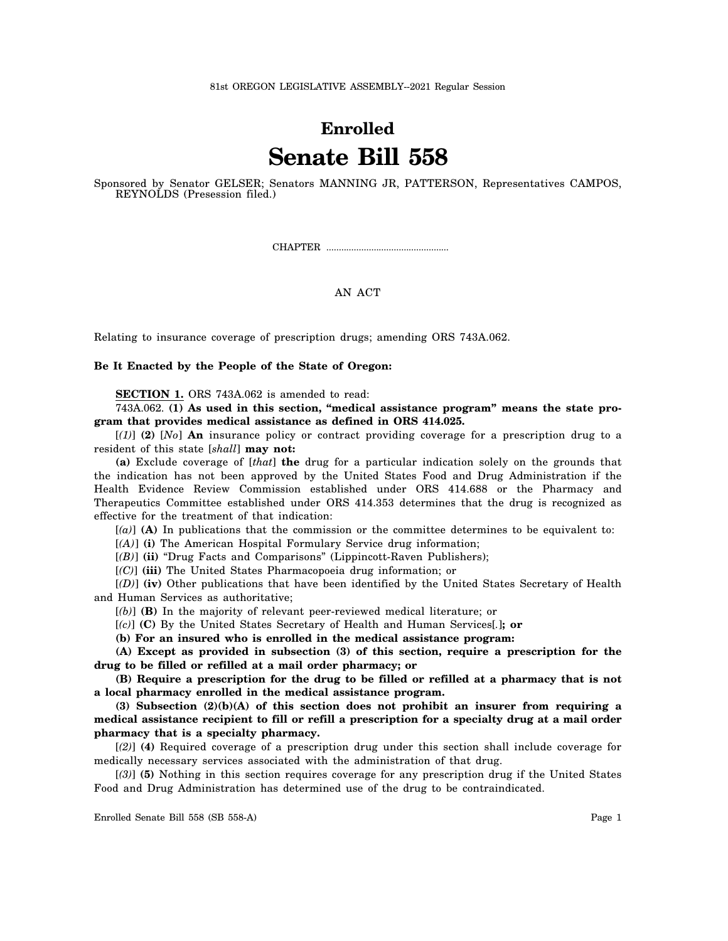## **Enrolled Senate Bill 558**

Sponsored by Senator GELSER; Senators MANNING JR, PATTERSON, Representatives CAMPOS, REYNOLDS (Presession filed.)

CHAPTER .................................................

## AN ACT

Relating to insurance coverage of prescription drugs; amending ORS 743A.062.

## **Be It Enacted by the People of the State of Oregon:**

**SECTION 1.** ORS 743A.062 is amended to read:

743A.062. **(1) As used in this section, "medical assistance program" means the state program that provides medical assistance as defined in ORS 414.025.**

[*(1)*] **(2)** [*No*] **An** insurance policy or contract providing coverage for a prescription drug to a resident of this state [*shall*] **may not:**

**(a)** Exclude coverage of [*that*] **the** drug for a particular indication solely on the grounds that the indication has not been approved by the United States Food and Drug Administration if the Health Evidence Review Commission established under ORS 414.688 or the Pharmacy and Therapeutics Committee established under ORS 414.353 determines that the drug is recognized as effective for the treatment of that indication:

[*(a)*] **(A)** In publications that the commission or the committee determines to be equivalent to:

[*(A)*] **(i)** The American Hospital Formulary Service drug information;

[*(B)*] **(ii)** "Drug Facts and Comparisons" (Lippincott-Raven Publishers);

[*(C)*] **(iii)** The United States Pharmacopoeia drug information; or

[*(D)*] **(iv)** Other publications that have been identified by the United States Secretary of Health and Human Services as authoritative;

[*(b)*] **(B)** In the majority of relevant peer-reviewed medical literature; or

[*(c)*] **(C)** By the United States Secretary of Health and Human Services[*.*]**; or**

**(b) For an insured who is enrolled in the medical assistance program:**

**(A) Except as provided in subsection (3) of this section, require a prescription for the drug to be filled or refilled at a mail order pharmacy; or**

**(B) Require a prescription for the drug to be filled or refilled at a pharmacy that is not a local pharmacy enrolled in the medical assistance program.**

**(3) Subsection (2)(b)(A) of this section does not prohibit an insurer from requiring a medical assistance recipient to fill or refill a prescription for a specialty drug at a mail order pharmacy that is a specialty pharmacy.**

[*(2)*] **(4)** Required coverage of a prescription drug under this section shall include coverage for medically necessary services associated with the administration of that drug.

[*(3)*] **(5)** Nothing in this section requires coverage for any prescription drug if the United States Food and Drug Administration has determined use of the drug to be contraindicated.

Enrolled Senate Bill 558 (SB 558-A) Page 1